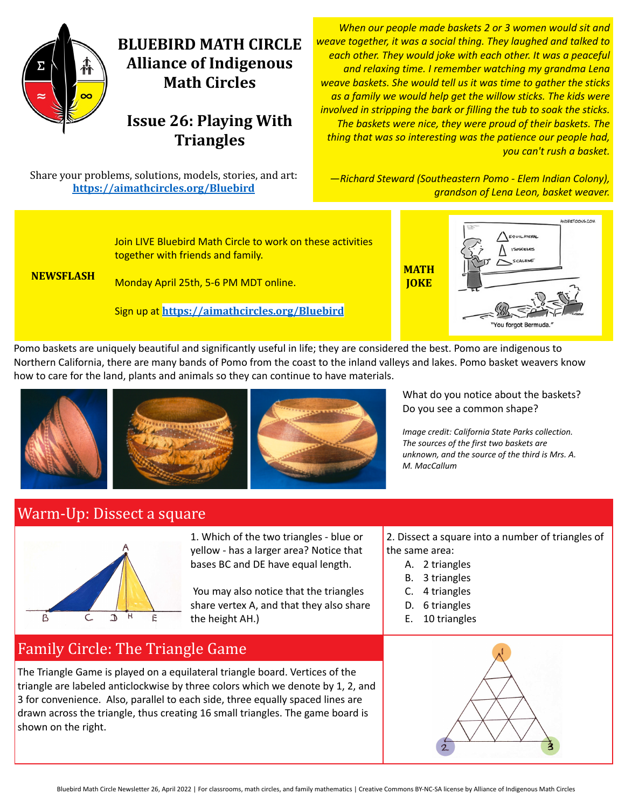

# **BLUEBIRD MATH CIRCLE Alliance of Indigenous Math Circles**

## **Issue 26: Playing With Triangles**

Share your problems, solutions, models, stories, and art: **<https://aimathcircles.org/Bluebird>**

*When our people made baskets 2 or 3 women would sit and weave together, it was a social thing. They laughed and talked to each other. They would joke with each other. It was a peaceful and relaxing time. I remember watching my grandma Lena weave baskets. She would tell us it was time to gather the sticks as a family we would help get the willow sticks. The kids were involved in stripping the bark or filling the tub to soak the sticks. The baskets were nice, they were proud of their baskets. The thing that was so interesting was the patience our people had, you can't rush a basket.*

*—Richard Steward (Southeastern Pomo - Elem Indian Colony), grandson of Lena Leon, basket weaver.*



Pomo baskets are uniquely beautiful and significantly useful in life; they are considered the best. Pomo are indigenous to Northern California, there are many bands of Pomo from the coast to the inland valleys and lakes. Pomo basket weavers know how to care for the land, plants and animals so they can continue to have materials.







What do you notice about the baskets? Do you see a common shape?

*Image credit: California State Parks collection. The sources of the first two baskets are unknown, and the source of the third is Mrs. A. M. MacCallum*

#### Warm-Up: Dissect a square



1. Which of the two triangles - blue or yellow - has a larger area? Notice that bases BC and DE have equal length.

You may also notice that the triangles share vertex A, and that they also share the height AH.)

- 2. Dissect a square into a number of triangles of the same area:
	- A. 2 triangles
	- B. 3 triangles
	- C. 4 triangles
	- D. 6 triangles
	- E. 10 triangles

## Family Circle: The Triangle Game

The Triangle Game is played on a equilateral triangle board. Vertices of the triangle are labeled anticlockwise by three colors which we denote by 1, 2, and 3 for convenience. Also, parallel to each side, three equally spaced lines are drawn across the triangle, thus creating 16 small triangles. The game board is shown on the right.